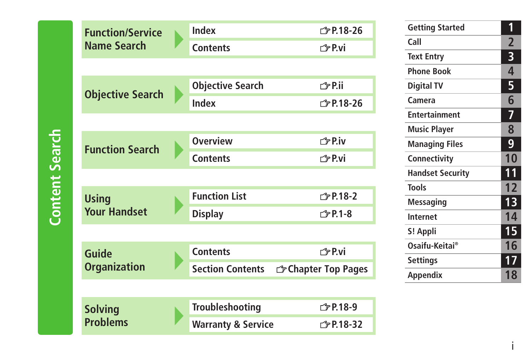| <b>Function/Service</b> | Index                         | r <sup>2</sup> P.18-26            |
|-------------------------|-------------------------------|-----------------------------------|
| <b>Name Search</b>      | <b>Contents</b>               | 子P.vi                             |
|                         |                               |                                   |
|                         | <b>Objective Search</b>       | 子P.ii                             |
| <b>Objective Search</b> | Index                         | r <sup>2</sup> P.18-26            |
|                         |                               |                                   |
| <b>Function Search</b>  | <b>Overview</b>               | <b>← P.iv</b>                     |
|                         | <b>Contents</b>               | r <sup>今</sup> P.vi               |
|                         |                               |                                   |
| <b>Using</b>            | <b>Function List</b>          | <b>← P.18-2</b>                   |
| <b>Your Handset</b>     | <b>Display</b>                | <b>◯ P.1-8</b>                    |
|                         |                               |                                   |
| <b>Guide</b>            | <b>Contents</b>               | ← P.vi                            |
| <b>Organization</b>     | <b>Section Contents</b>       | <b><i>G</i></b> Chapter Top Pages |
|                         |                               |                                   |
| <b>Solving</b>          | <b>Troubleshooting</b>        | <b>← P.18-9</b>                   |
| <b>Problems</b>         | <b>Warranty &amp; Service</b> | <b>← P.18-32</b>                  |

| <b>Getting Started</b>  | 1               |
|-------------------------|-----------------|
| Call                    | 2               |
| <b>Text Entry</b>       | 3               |
| Phone Book              | 4               |
| <b>Digital TV</b>       | 5               |
| Camera                  | 6               |
| <b>Entertainment</b>    | 7               |
| <b>Music Player</b>     | 8               |
| <b>Managing Files</b>   | 9               |
| Connectivity            | 10              |
| <b>Handset Security</b> | 11              |
| Tools                   | 12              |
| Messaging               | $\overline{13}$ |
| <b>Internet</b>         | 14              |
| S! Appli                | 15              |
| Osaifu-Keitai®          | 16              |
| <b>Settings</b>         | 17              |
| Appendix                | 18              |

i

# **Content Search Content Search**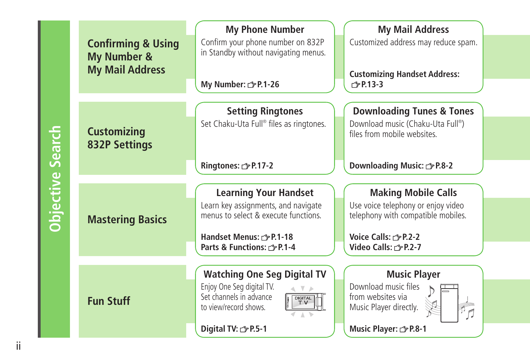|                         | <b>Confirming &amp; Using</b><br>My Number &<br><b>My Mail Address</b> | <b>My Phone Number</b><br>Confirm your phone number on 832P<br>in Standby without navigating menus.<br>My Number: 3 P.1-26                                           | <b>My Mail Address</b><br>Customized address may reduce spam.<br><b>Customizing Handset Address:</b><br><b>子P.13-3</b>                                   |
|-------------------------|------------------------------------------------------------------------|----------------------------------------------------------------------------------------------------------------------------------------------------------------------|----------------------------------------------------------------------------------------------------------------------------------------------------------|
| <b>Objective Search</b> | <b>Customizing</b><br><b>832P Settings</b>                             | <b>Setting Ringtones</b><br>Set Chaku-Uta Full® files as ringtones.<br>Ringtones: <a> F.17-2</a>                                                                     | <b>Downloading Tunes &amp; Tones</b><br>Download music (Chaku-Uta Full®)<br>files from mobile websites.<br><b>Downloading Music:</b> $\mathcal{F}$ P.8-2 |
|                         | <b>Mastering Basics</b>                                                | <b>Learning Your Handset</b><br>Learn key assignments, and navigate<br>menus to select & execute functions.<br>Handset Menus: r P.1-18<br>Parts & Functions: r P.1-4 | <b>Making Mobile Calls</b><br>Use voice telephony or enjoy video<br>telephony with compatible mobiles.<br>Voice Calls: r P.2-2<br>Video Calls: r P.2-7   |
|                         | <b>Fun Stuff</b>                                                       | <b>Watching One Seg Digital TV</b><br>Enjoy One Seg digital TV.<br>Set channels in advance<br><b>DIGITAL</b><br>to view/record shows.<br>Digital TV: free P.5-1      | <b>Music Player</b><br>Download music files<br>from websites via<br>Music Player directly.<br>Music Player: 3 P.8-1                                      |

ii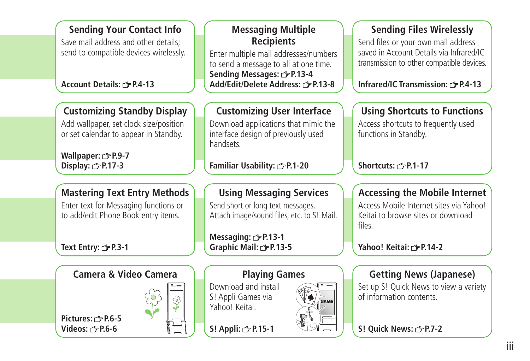| Save mail address and other details;<br>send to compatible devices wirelessly.<br>Account Details: r P.4-13 | <b>Recipients</b><br>Enter multiple mail addresses/numbers<br>to send a message to all at one time.<br>Sending Messages: 子P.13-4<br>Add/Edit/Delete Address: 3 P.13-8 | Send files or your own mail address<br>saved in Account Details via Infrared/IC<br>transmission to other compatible devices.<br>Infrared/IC Transmission: r & P.4-13 |
|-------------------------------------------------------------------------------------------------------------|-----------------------------------------------------------------------------------------------------------------------------------------------------------------------|----------------------------------------------------------------------------------------------------------------------------------------------------------------------|
| <b>Customizing Standby Display</b>                                                                          | <b>Customizing User Interface</b>                                                                                                                                     | <b>Using Shortcuts to Functions</b>                                                                                                                                  |
| Add wallpaper, set clock size/position<br>or set calendar to appear in Standby.                             | Download applications that mimic the<br>interface design of previously used<br>handsets.                                                                              | Access shortcuts to frequently used<br>functions in Standby.                                                                                                         |
| Wallpaper: $\mathcal{F}$ P.9-7<br>Display: 3P.17-3                                                          | Familiar Usability: <a> 5 P.1-20</a>                                                                                                                                  | Shortcuts: <b>3 P.1-17</b>                                                                                                                                           |
| <b>Mastering Text Entry Methods</b>                                                                         | <b>Using Messaging Services</b>                                                                                                                                       | <b>Accessing the Mobile Internet</b>                                                                                                                                 |
| Enter text for Messaging functions or<br>to add/edit Phone Book entry items.                                | Send short or long text messages.<br>Attach image/sound files, etc. to S! Mail.                                                                                       | Access Mobile Internet sites via Yahoo!<br>Keitai to browse sites or download<br>files.                                                                              |
| Text Entry: <b><i>f</i></b> P.3-1                                                                           | Messaging: 上P.13-1<br>Graphic Mail: <a> 5</a> 5 13-5                                                                                                                  | Yahoo! Keitai: ← P.14-2                                                                                                                                              |
|                                                                                                             |                                                                                                                                                                       |                                                                                                                                                                      |
| <b>Camera &amp; Video Camera</b>                                                                            | <b>Playing Games</b><br>Download and install                                                                                                                          | <b>Getting News (Japanese)</b><br>Set up S! Quick News to view a variety                                                                                             |
| Pictures: r <sup>2</sup> P.6-5<br>Videos: $\curvearrowright$ P.6-6                                          | S! Appli Games via<br>GAME<br>Yahoo! Keitai.<br>S! Appli: 3P.15-1                                                                                                     | of information contents.<br>S! Quick News: <a> P.7-2</a>                                                                                                             |

**Messaging Multiple** 

**Sending Files Wirelessly**

**Sending Your Contact Info**

## iii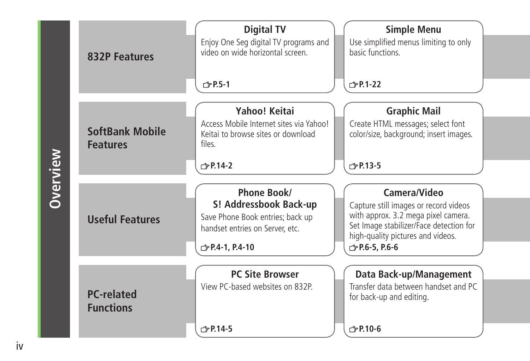|          | <b>832P Features</b>                      | <b>Digital TV</b><br>Enjoy One Seg digital TV programs and<br>video on wide horizontal screen.<br><b>子P.5-1</b>                        | <b>Simple Menu</b><br>Use simplified menus limiting to only<br>hasic functions<br>$\sqrt{7}P.1-22$                                                                                                    |
|----------|-------------------------------------------|----------------------------------------------------------------------------------------------------------------------------------------|-------------------------------------------------------------------------------------------------------------------------------------------------------------------------------------------------------|
| Overview | <b>SoftBank Mobile</b><br><b>Features</b> | Yahoo! Keitai<br>Access Mobile Internet sites via Yahoo!<br>Keitai to browse sites or download<br>files.<br>r <sup>→</sup> P.14-2      | <b>Graphic Mail</b><br>Create HTML messages; select font<br>color/size, background; insert images.<br><b>← P.13-5</b>                                                                                 |
|          | <b>Useful Features</b>                    | Phone Book/<br>S! Addressbook Back-up<br>Save Phone Book entries; back up<br>handset entries on Server, etc.<br><b>← P.4-1, P.4-10</b> | Camera/Video<br>Capture still images or record videos<br>with approx. 3.2 mega pixel camera.<br>Set Image stabilizer/Face detection for<br>high-quality pictures and videos.<br><b>← P.6-5, P.6-6</b> |
|          | <b>PC-related</b><br><b>Functions</b>     | <b>PC Site Browser</b><br>View PC-based websites on 832P.<br>$\sqrt{2}$ P.14-5                                                         | Data Back-up/Management<br>Transfer data between handset and PC<br>for back-up and editing.<br>r <sup>→</sup> P.10-6                                                                                  |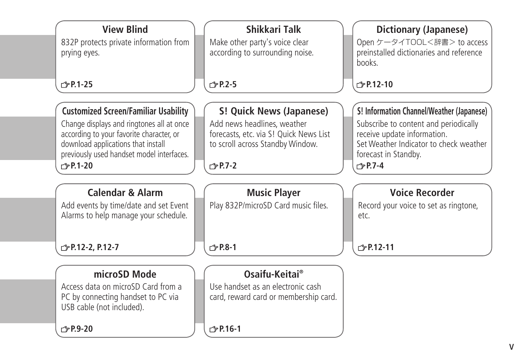| <b>View Blind</b>                           | Shikkari Talk                          | <b>Dictionary (Japanese)</b>              |
|---------------------------------------------|----------------------------------------|-------------------------------------------|
| 832P protects private information from      | Make other party's voice clear         | Open ケータイTOOL<辞書> to access               |
| prying eyes.                                | according to surrounding noise.        | preinstalled dictionaries and reference   |
|                                             |                                        | hooks.                                    |
| r <sup>→</sup> P.1-25                       | $\sqrt{2}$ P.2-5                       | $\sqrt{2}$ P.12-10                        |
|                                             |                                        |                                           |
| <b>Customized Screen/Familiar Usability</b> | S! Quick News (Japanese)               | S! Information Channel/Weather (Japanese) |
| Change displays and ringtones all at once   | Add news headlines, weather            | Subscribe to content and periodically     |
| according to your favorite character, or    | forecasts, etc. via S! Quick News List | receive update information.               |
| download applications that install          | to scroll across Standby Window.       | Set Weather Indicator to check weather    |
| previously used handset model interfaces.   |                                        | forecast in Standby.                      |
| $\sqrt{2}$ P.1-20                           | $\sqrt{2}$ P.7-2                       | $\sqrt{7}$ P.7-4                          |
|                                             |                                        |                                           |
| <b>Calendar &amp; Alarm</b>                 | <b>Music Player</b>                    | <b>Voice Recorder</b>                     |
| Add events by time/date and set Event       | Play 832P/microSD Card music files.    | Record your voice to set as ringtone,     |
| Alarms to help manage your schedule.        |                                        | etc.                                      |
|                                             |                                        |                                           |
|                                             | $\curvearrowleft$ P.8-1                | $\sqrt{=}$ P.12-11                        |
| <b>£</b> P.12-2, P.12-7                     |                                        |                                           |
|                                             |                                        |                                           |
| microSD Mode                                | Osaifu-Keitai®                         |                                           |
| Access data on microSD Card from a          | Use handset as an electronic cash      |                                           |
| PC by connecting handset to PC via          | card, reward card or membership card.  |                                           |
| USB cable (not included).                   |                                        |                                           |
| $\sqrt{2}$ P.9-20                           | r <sup>→</sup> P.16-1                  |                                           |
|                                             |                                        |                                           |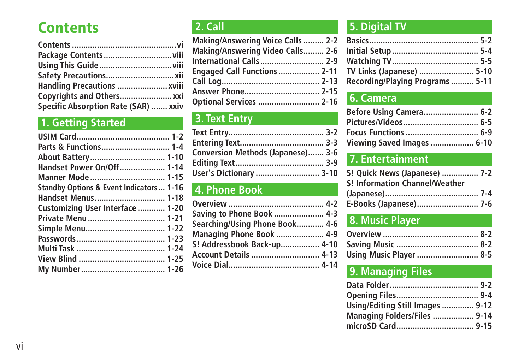# **Contents**

| Handling Precautions  xviii          |  |
|--------------------------------------|--|
|                                      |  |
| Specific Absorption Rate (SAR)  xxiv |  |

# **1. Getting Started**

| Parts & Functions 1-4                              |
|----------------------------------------------------|
|                                                    |
| Handset Power On/Off 1-14                          |
| Manner Mode 1-15                                   |
| <b>Standby Options &amp; Event Indicators 1-16</b> |
| Handset Menus 1-18                                 |
| Customizing User Interface  1-20                   |
| Private Menu  1-21                                 |
| Simple Menu 1-22                                   |
|                                                    |
|                                                    |
|                                                    |
|                                                    |
|                                                    |

# **2. Call**

| Making/Answering Voice Calls  2-2   |  |
|-------------------------------------|--|
| Making/Answering Video Calls 2-6    |  |
| International Calls 2-9             |  |
| <b>Engaged Call Functions  2-11</b> |  |
|                                     |  |
| Answer Phone 2-15                   |  |
| Optional Services  2-16             |  |
|                                     |  |

# **3. Text Entry**

| Conversion Methods (Japanese) 3-6 |  |
|-----------------------------------|--|
|                                   |  |
| User's Dictionary  3-10           |  |

# **4. Phone Book**

| Saving to Phone Book  4-3       |
|---------------------------------|
| Searching/Using Phone Book 4-6  |
| <b>Managing Phone Book  4-9</b> |
| S! Addressbook Back-up 4-10     |
|                                 |
|                                 |
|                                 |

# **5. Digital TV**

| TV Links (Japanese)  5-10        |  |
|----------------------------------|--|
| Recording/Playing Programs  5-11 |  |

# **6. Camera**

| Before Using Camera 6-2           |  |
|-----------------------------------|--|
|                                   |  |
|                                   |  |
| <b>Viewing Saved Images  6-10</b> |  |

# **7. Entertainment**

| S! Quick News (Japanese)  7-2         |  |
|---------------------------------------|--|
| <b>S! Information Channel/Weather</b> |  |
|                                       |  |
| E-Books (Japanese) 7-6                |  |
|                                       |  |

# **8. Music Player**

| <b>Using Music Player  8-5</b> |  |
|--------------------------------|--|

# **9. Managing Files**

| Using/Editing Still Images  9-12 |  |
|----------------------------------|--|
| Managing Folders/Files  9-14     |  |
|                                  |  |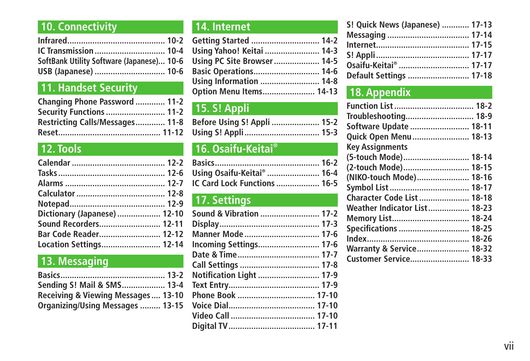# **10. Connectivity**

| SoftBank Utility Software (Japanese) 10-6 |  |
|-------------------------------------------|--|
| USB (Japanese)  10-6                      |  |

# **11. Handset Security**

| Changing Phone Password  11-2   |  |
|---------------------------------|--|
| <b>Security Functions  11-2</b> |  |
| Restricting Calls/Messages 11-8 |  |
|                                 |  |

# **12. Tools**

| Dictionary (Japanese)  12-10 |
|------------------------------|
| Sound Recorders 12-11        |
| Bar Code Reader 12-12        |
| Location Settings 12-14      |
|                              |

# **13. Messaging**

| Sending S! Mail & SMS 13-4          |  |
|-------------------------------------|--|
| Receiving & Viewing Messages  13-10 |  |
| Organizing/Using Messages  13-15    |  |

# **14. Internet**

| Getting Started  14-2          |  |
|--------------------------------|--|
| Using Yahoo! Keitai  14-3      |  |
| Using PC Site Browser 14-5     |  |
| <b>Basic Operations 14-6</b>   |  |
| Using Information  14-8        |  |
| <b>Option Menu Items 14-13</b> |  |

# **15. S! Appli**

| Before Using S! Appli  15-2 |  |
|-----------------------------|--|
|                             |  |

# **16. Osaifu-Keitai®**

| Using Osaifu-Keitai®  16-4   |  |
|------------------------------|--|
| IC Card Lock Functions  16-5 |  |

# **17. Settings**

| Notification Light  17-9 |  |
|--------------------------|--|
|                          |  |
|                          |  |
|                          |  |
|                          |  |
|                          |  |

| S! Quick News (Japanese)  17-13 |  |
|---------------------------------|--|
|                                 |  |
|                                 |  |
|                                 |  |
|                                 |  |
| Default Settings  17-18         |  |

# **18. Appendix**

| Troubleshooting 18-9                |  |
|-------------------------------------|--|
| Software Update  18-11              |  |
| Quick Open Menu  18-13              |  |
| <b>Key Assignments</b>              |  |
| (5-touch Mode) 18-14                |  |
| (2-touch Mode) 18-15                |  |
| (NIKO-touch Mode) 18-16             |  |
|                                     |  |
| Character Code List  18-18          |  |
| Weather Indicator List 18-23        |  |
|                                     |  |
| Specifications  18-25               |  |
|                                     |  |
| <b>Warranty &amp; Service 18-32</b> |  |
| Customer Service 18-33              |  |
|                                     |  |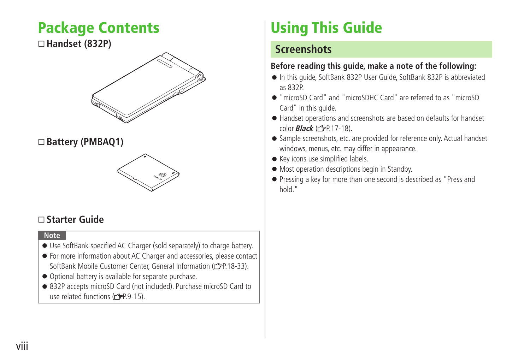# <span id="page-7-0"></span>**Package Contents**

#### **Handset (832P)**



#### **Battery (PMBAQ1)**



## **Starter Guide**

#### **Note**

- Use SoftBank specified AC Charger (sold separately) to charge battery.
- For more information about AC Charger and accessories, please contact SoftBank Mobile Customer Center, General Information ( $\rightarrow$ P.18-33).
- Optional battery is available for separate purchase.
- 832P accepts microSD Card (not included). Purchase microSD Card to use related functions ( $\mathcal{P}$ P.9-15).

# **Using This Guide**

## **Screenshots**

#### **Before reading this guide, make a note of the following:**

- In this guide, SoftBank 832P User Guide, SoftBank 832P is abbreviated as 832P.
- "microSD Card" and "microSDHC Card" are referred to as "microSD Card" in this guide.
- Handset operations and screenshots are based on defaults for handset color **Black** ( $\sqrt{p}$ P.17-18).
- Sample screenshots, etc. are provided for reference only. Actual handset windows, menus, etc. may differ in appearance.
- Key icons use simplified labels.
- Most operation descriptions begin in Standby.
- Pressing a key for more than one second is described as "Press and hold."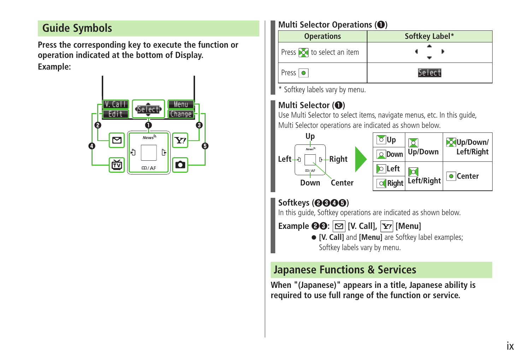# **Guide Symbols**

**Press the corresponding key to execute the function or operation indicated at the bottom of Display. Example:**



#### **Multi Selector Operations (❶)**

| <b>Operations</b>                | Softkey Label*                      |
|----------------------------------|-------------------------------------|
| Press <b>o</b> to select an item |                                     |
| Press $  \bullet  $              | $AP$ $PC$ <sup><math>+</math></sup> |

\* Softkey labels vary by menu.

#### **Multi Selector (❶)**

Use Multi Selector to select items, navigate menus, etc. In this guide, Multi Selector operations are indicated as shown below.



### **Softkeys (❷❸❹❺)**

In this guide, Softkey operations are indicated as shown below.

**Example**  $\Theta$  $\Theta$ :  $|\mathbf{\heartsuit}|$  [V. Call],  $|\mathbf{Y}$ / [Menu]

● **[V. Call]** and **[Menu]** are Softkey label examples; Softkey labels vary by menu.

# **Japanese Functions & Services**

**When "(Japanese)" appears in a title, Japanese ability is required to use full range of the function or service.**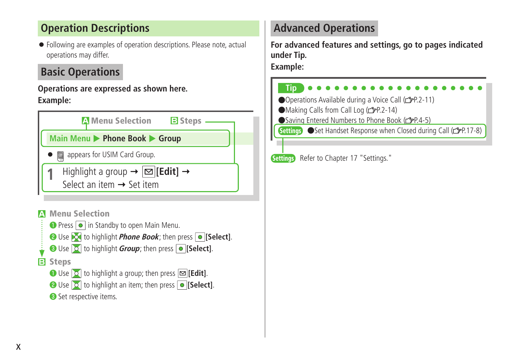# **Operation Descriptions**

● Following are examples of operation descriptions. Please note, actual operations may differ.

# **Basic Operations**

#### **Operations are expressed as shown here. Example:**





# **Advanced Operations**

**For advanced features and settings, go to pages indicated under Tip.**

**Example:**



Settings Refer to Chapter 17 "Settings."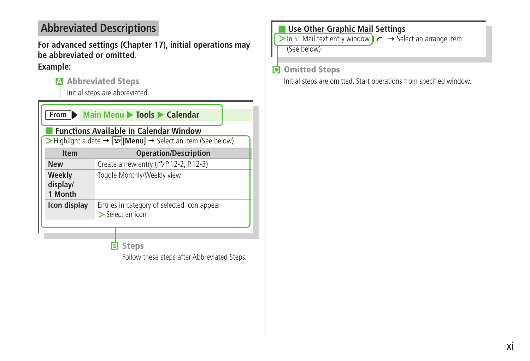# **Abbreviated Descriptions**

**For advanced settings (Chapter 17), initial operations may be abbreviated or omitted.**

#### **Example:**

**A Abbreviated Steps**

Initial steps are abbreviated.

| From <b>D</b>                                                                                                  | Main Menu > Tools > Calendar                                      |  |  |
|----------------------------------------------------------------------------------------------------------------|-------------------------------------------------------------------|--|--|
| <b>Functions Available in Calendar Window</b>                                                                  |                                                                   |  |  |
| $\triangleright$ Highlight a date $\rightarrow \triangleright$ [Menu] $\rightarrow$ Select an item (See below) |                                                                   |  |  |
| <b>Item</b>                                                                                                    | <b>Operation/Description</b>                                      |  |  |
| <b>New</b>                                                                                                     | Create a new entry (real-2, P.12-3)                               |  |  |
| Weekly<br>display/<br>1 Month                                                                                  | Toggle Monthly/Weekly view                                        |  |  |
| Icon display                                                                                                   | Entries in category of selected icon appear<br>$>$ Select an icon |  |  |
|                                                                                                                |                                                                   |  |  |

#### **B Steps**

Follow these steps after Abbreviated Steps.

#### ■ **Use Other Graphic Mail Settings**

 $>$  In S! Mail text entry window,  $\sim$  3 Select an arrange item

(See below)

#### **C Omitted Steps**

Initial steps are omitted. Start operations from specified window.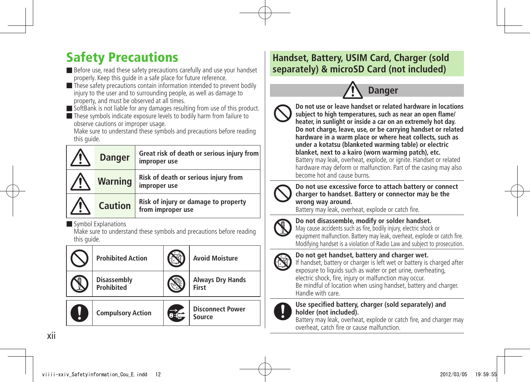# <span id="page-11-0"></span>Safety Precautions

■ Before use, read these safety precautions carefully and use your handset properly. Keep this guide in a safe place for future reference.

■ These safety precautions contain information intended to prevent bodily injury to the user and to surrounding people, as well as damage to property, and must be observed at all times.

■ SoftBank is not liable for any damages resulting from use of this product.

■ These symbols indicate exposure levels to bodily harm from failure to observe cautions or improper usage.

Make sure to understand these symbols and precautions before reading this quide.

| <b>Danger</b>  | Great risk of death or serious injury from<br>improper use |
|----------------|------------------------------------------------------------|
| <b>Warning</b> | Risk of death or serious injury from<br>improper use       |
| <b>Caution</b> | Risk of injury or damage to property<br>from improper use  |

■ Symbol Explanations

Make sure to understand these symbols and precautions before reading this quide.

|   | <b>Prohibited Action</b>                | <b>Avoid Moisture</b>             |
|---|-----------------------------------------|-----------------------------------|
|   | <b>Disassembly</b><br><b>Prohibited</b> | <b>Always Dry Hands</b><br>First  |
| Į | <b>Compulsory Action</b>                | <b>Disconnect Power</b><br>Source |

# **Handset, Battery, USIM Card, Charger (sold separately) & microSD Card (not included)**



**Do not use or leave handset or related hardware in locations subject to high temperatures, such as near an open flame/ heater, in sunlight or inside a car on an extremely hot day. Do not charge, leave, use, or be carrying handset or related hardware in a warm place or where heat collects, such as under a kotatsu (blanketed warming table) or electric blanket, next to a kairo (worn warming patch), etc.** Battery may leak, overheat, explode, or ignite. Handset or related hardware may deform or malfunction. Part of the casing may also become hot and cause burns.



**Do not use excessive force to attach battery or connect charger to handset. Battery or connector may be the wrong way around.**

Battery may leak, overheat, explode or catch fire.



**Do not disassemble, modify or solder handset.**

May cause accidents such as fire, bodily injury, electric shock or equipment malfunction. Battery may leak, overheat, explode or catch fire. Modifying handset is a violation of Radio Law and subject to prosecution.

**Do not get handset, battery and charger wet.**



If handset, battery or charger is left wet or battery is charged after exposure to liquids such as water or pet urine, overheating, electric shock, fire, injury or malfunction may occur.

Be mindful of location when using handset, battery and charger. Handle with care.



#### **Use specified battery, charger (sold separately) and holder (not included).**

Battery may leak, overheat, explode or catch fire, and charger may overheat, catch fire or cause malfunction.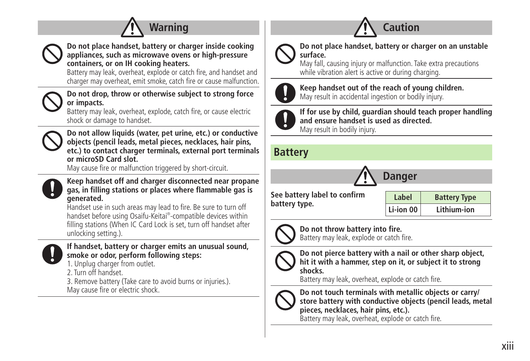



**Do not place handset, battery or charger inside cooking appliances, such as microwave ovens or high-pressure containers, or on IH cooking heaters.**

Battery may leak, overheat, explode or catch fire, and handset and charger may overheat, emit smoke, catch fire or cause malfunction.

**Do not drop, throw or otherwise subject to strong force or impacts.**

Battery may leak, overheat, explode, catch fire, or cause electric shock or damage to handset.



**Do not allow liquids (water, pet urine, etc.) or conductive objects (pencil leads, metal pieces, necklaces, hair pins, etc.) to contact charger terminals, external port terminals or microSD Card slot.**

May cause fire or malfunction triggered by short-circuit.



**Keep handset off and charger disconnected near propane gas, in filling stations or places where flammable gas is generated.**

Handset use in such areas may lead to fire. Be sure to turn off handset before using Osaifu-Keitai® -compatible devices within filling stations (When IC Card Lock is set, turn off handset after unlocking setting.).



#### **If handset, battery or charger emits an unusual sound, smoke or odor, perform following steps:**

1. Unplug charger from outlet.

2. Turn off handset.

3. Remove battery (Take care to avoid burns or injuries.). May cause fire or electric shock.



**Do not place handset, battery or charger on an unstable surface.**

**Caution**

May fall, causing injury or malfunction. Take extra precautions while vibration alert is active or during charging.



**Keep handset out of the reach of young children.** May result in accidental ingestion or bodily injury.



**If for use by child, guardian should teach proper handling and ensure handset is used as directed.** May result in bodily injury.

## **Battery**



**See battery label to confirm battery type.**

Label Battery Type **Li-ion 00 Lithium-ion**



**Do not throw battery into fire.** Battery may leak, explode or catch fire.



**Do not pierce battery with a nail or other sharp object, hit it with a hammer, step on it, or subject it to strong shocks.**

Battery may leak, overheat, explode or catch fire.



**Do not touch terminals with metallic objects or carry/ store battery with conductive objects (pencil leads, metal pieces, necklaces, hair pins, etc.).**

Battery may leak, overheat, explode or catch fire.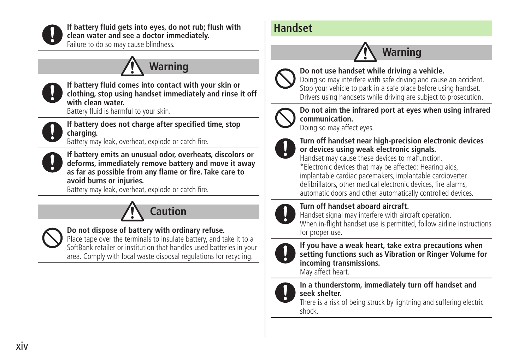

**If battery fluid gets into eyes, do not rub; flush with clean water and see a doctor immediately.**

Failure to do so may cause blindness.

# **Warning**



**If battery fluid comes into contact with your skin or clothing, stop using handset immediately and rinse it off with clean water.**

Battery fluid is harmful to your skin.



**If battery does not charge after specified time, stop charging.**

Battery may leak, overheat, explode or catch fire.



**If battery emits an unusual odor, overheats, discolors or deforms, immediately remove battery and move it away as far as possible from any flame or fire. Take care to avoid burns or injuries.**

Battery may leak, overheat, explode or catch fire.





#### **Do not dispose of battery with ordinary refuse.**

Place tape over the terminals to insulate battery, and take it to a SoftBank retailer or institution that handles used batteries in your area. Comply with local waste disposal regulations for recycling.

# **Handset**

# **Warning**



**Do not use handset while driving a vehicle.** Doing so may interfere with safe driving and cause an accident.

Stop your vehicle to park in a safe place before using handset. Drivers using handsets while driving are subject to prosecution.



**Do not aim the infrared port at eyes when using infrared communication.**

Doing so may affect eyes.



**Turn off handset near high-precision electronic devices or devices using weak electronic signals.**

Handset may cause these devices to malfunction. \*Electronic devices that may be affected: Hearing aids, implantable cardiac pacemakers, implantable cardioverter defibrillators, other medical electronic devices, fire alarms, automatic doors and other automatically controlled devices.



#### **Turn off handset aboard aircraft.**

Handset signal may interfere with aircraft operation. When in-flight handset use is permitted, follow airline instructions for proper use.



**If you have a weak heart, take extra precautions when setting functions such as Vibration or Ringer Volume for incoming transmissions.**

May affect heart.



**In a thunderstorm, immediately turn off handset and seek shelter.**

There is a risk of being struck by lightning and suffering electric shock.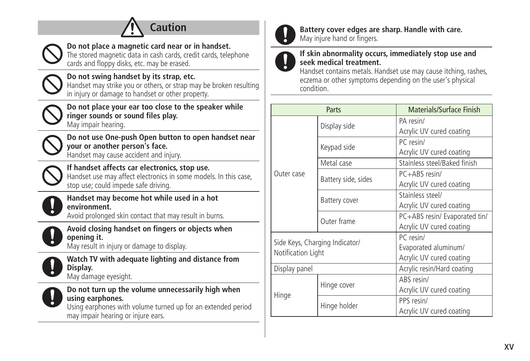| Do not place a magnetic card near or in handset.                                                                                                                   |                      |                                  |               |
|--------------------------------------------------------------------------------------------------------------------------------------------------------------------|----------------------|----------------------------------|---------------|
| The stored magnetic data in cash cards, credit cards, telephone<br>cards and floppy disks, etc. may be erased.                                                     | If skin a<br>seek me |                                  |               |
| Do not swing handset by its strap, etc.<br>Handset may strike you or others, or strap may be broken resulting<br>in injury or damage to handset or other property. |                      | Handset<br>eczema c<br>condition |               |
| Do not place your ear too close to the speaker while<br>ringer sounds or sound files play.<br>May impair hearing.                                                  |                      |                                  | Di            |
| Do not use One-push Open button to open handset near<br>your or another person's face.<br>Handset may cause accident and injury.                                   | Outer case           |                                  | Kε            |
| If handset affects car electronics, stop use.<br>Handset use may affect electronics in some models. In this case,<br>stop use; could impede safe driving.          |                      |                                  | M<br>B        |
| Handset may become hot while used in a hot<br>environment.<br>Avoid prolonged skin contact that may result in burns.                                               |                      |                                  | B<br>$\Omega$ |
| Avoid closing handset on fingers or objects when<br>opening it.<br>May result in injury or damage to display.                                                      |                      | Side Keys, Chargir               |               |
| Watch TV with adequate lighting and distance from<br>Display.<br>May damage eyesight.                                                                              | Display panel        | Notification Light               |               |
| Do not turn up the volume unnecessarily high when<br>using earphones.<br>Using earphones with volume turned up for an extended period                              | Hinge                |                                  | Hi<br>Hi      |
| may impair hearing or injure ears.                                                                                                                                 |                      |                                  |               |



**Battery cover edges are sharp. Handle with care.** May injure hand or fingers.

#### **If skin abnormality occurs, immediately stop use and seek medical treatment.**

Handset contains metals. Handset use may cause itching, rashes, eczema or other symptoms depending on the user's physical condition.

| Parts                                                |                     | Materials/Surface Finish      |
|------------------------------------------------------|---------------------|-------------------------------|
|                                                      |                     | PA resin/                     |
|                                                      | Display side        | Acrylic UV cured coating      |
|                                                      |                     | PC resin/                     |
|                                                      | Keypad side         | Acrylic UV cured coating      |
|                                                      | Metal case          | Stainless steel/Baked finish  |
| Outer case                                           | Battery side, sides | $PC + ARS$ resin/             |
|                                                      |                     | Acrylic UV cured coating      |
|                                                      | Battery cover       | Stainless steel/              |
|                                                      |                     | Acrylic UV cured coating      |
|                                                      | Outer frame         | PC+ABS resin/ Evaporated tin/ |
|                                                      |                     | Acrylic UV cured coating      |
| Side Keys, Charging Indicator/<br>Notification Light |                     | PC resin/                     |
|                                                      |                     | Evaporated aluminum/          |
|                                                      |                     | Acrylic UV cured coating      |
| Display panel                                        |                     | Acrylic resin/Hard coating    |
| Hinge                                                | Hinge cover         | ABS resin/                    |
|                                                      |                     | Acrylic UV cured coating      |
|                                                      | Hinge holder        | PPS resin/                    |
|                                                      |                     | Acrylic UV cured coating      |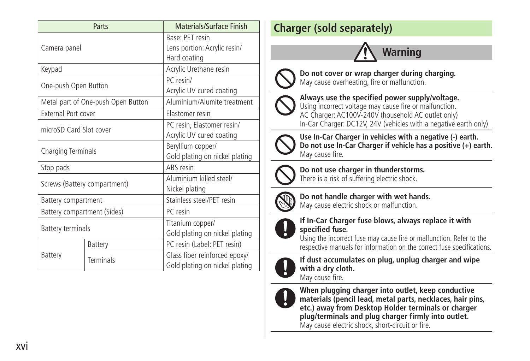| Parts                        |                                    | Materials/Surface Finish       |  |
|------------------------------|------------------------------------|--------------------------------|--|
| Camera panel                 |                                    | Base: PFT resin                |  |
|                              |                                    | Lens portion: Acrylic resin/   |  |
|                              |                                    | Hard coating                   |  |
| Keypad                       |                                    | Acrylic Urethane resin         |  |
|                              |                                    | PC resin/                      |  |
| One-push Open Button         |                                    | Acrylic UV cured coating       |  |
|                              | Metal part of One-push Open Button | Aluminium/Alumite treatment    |  |
| <b>External Port cover</b>   |                                    | Elastomer resin                |  |
| microSD Card Slot cover      |                                    | PC resin, Elastomer resin/     |  |
|                              |                                    | Acrylic UV cured coating       |  |
| Charging Terminals           |                                    | Beryllium copper/              |  |
|                              |                                    | Gold plating on nickel plating |  |
| Stop pads                    |                                    | ABS resin                      |  |
| Screws (Battery compartment) |                                    | Aluminium killed steel/        |  |
|                              |                                    | Nickel plating                 |  |
| Battery compartment          |                                    | Stainless steel/PET resin      |  |
| Battery compartment (Sides)  |                                    | PC resin                       |  |
| <b>Battery terminals</b>     |                                    | Titanium copper/               |  |
|                              |                                    | Gold plating on nickel plating |  |
|                              | Battery                            | PC resin (Label: PET resin)    |  |
| Battery                      | <b>Terminals</b>                   | Glass fiber reinforced epoxy/  |  |
|                              |                                    | Gold plating on nickel plating |  |

# **Charger (sold separately)**

# **Warning**



**Do not cover or wrap charger during charging.** May cause overheating, fire or malfunction.



**Always use the specified power supply/voltage.** Using incorrect voltage may cause fire or malfunction.

AC Charger: AC100V-240V (household AC outlet only) In-Car Charger: DC12V, 24V (vehicles with a negative earth only)



**Use In-Car Charger in vehicles with a negative (-) earth. Do not use In-Car Charger if vehicle has a positive (+) earth.** May cause fire.



**Do not use charger in thunderstorms.** There is a risk of suffering electric shock.



**Do not handle charger with wet hands.** May cause electric shock or malfunction.



**If In-Car Charger fuse blows, always replace it with specified fuse.**

Using the incorrect fuse may cause fire or malfunction. Refer to the respective manuals for information on the correct fuse specifications.



**If dust accumulates on plug, unplug charger and wipe with a dry cloth.** May cause fire.



**When plugging charger into outlet, keep conductive materials (pencil lead, metal parts, necklaces, hair pins, etc.) away from Desktop Holder terminals or charger plug/terminals and plug charger firmly into outlet.** May cause electric shock, short-circuit or fire.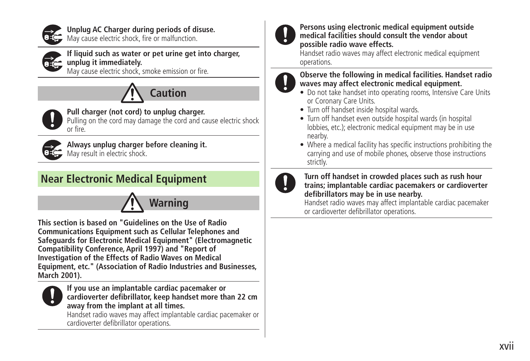

**Unplug AC Charger during periods of disuse.**

May cause electric shock, fire or malfunction.



**If liquid such as water or pet urine get into charger, unplug it immediately.**

May cause electric shock, smoke emission or fire.





**Pull charger (not cord) to unplug charger.** Pulling on the cord may damage the cord and cause electric shock or fire.



**Always unplug charger before cleaning it.** May result in electric shock.

# **Near Electronic Medical Equipment**



**This section is based on "Guidelines on the Use of Radio Communications Equipment such as Cellular Telephones and Safeguards for Electronic Medical Equipment" (Electromagnetic Compatibility Conference, April 1997) and "Report of Investigation of the Effects of Radio Waves on Medical Equipment, etc." (Association of Radio Industries and Businesses, March 2001).**



**If you use an implantable cardiac pacemaker or cardioverter defibrillator, keep handset more than 22 cm away from the implant at all times.**

Handset radio waves may affect implantable cardiac pacemaker or cardioverter defibrillator operations.



#### **Persons using electronic medical equipment outside medical facilities should consult the vendor about possible radio wave effects.**

Handset radio waves may affect electronic medical equipment operations.

#### **Observe the following in medical facilities. Handset radio waves may affect electronic medical equipment.**

- Do not take handset into operating rooms, Intensive Care Units or Coronary Care Units.
- Turn off handset inside hospital wards.
- Turn off handset even outside hospital wards (in hospital lobbies, etc.); electronic medical equipment may be in use nearby.

• Where a medical facility has specific instructions prohibiting the carrying and use of mobile phones, observe those instructions strictly.



#### **Turn off handset in crowded places such as rush hour trains; implantable cardiac pacemakers or cardioverter defibrillators may be in use nearby.**

Handset radio waves may affect implantable cardiac pacemaker or cardioverter defibrillator operations.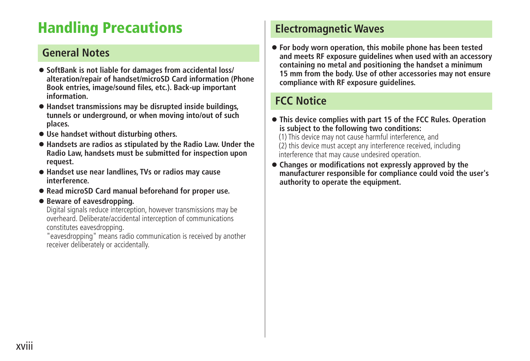# <span id="page-17-0"></span>**Handling Precautions**

## **General Notes**

- **SoftBank is not liable for damages from accidental loss/ alteration/repair of handset/microSD Card information (Phone Book entries, image/sound files, etc.). Back-up important information.**
- **Handset transmissions may be disrupted inside buildings, tunnels or underground, or when moving into/out of such places.**
- **Use handset without disturbing others.**
- **Handsets are radios as stipulated by the Radio Law. Under the Radio Law, handsets must be submitted for inspection upon request.**
- **Handset use near landlines, TVs or radios may cause interference.**
- **Read microSD Card manual beforehand for proper use.**

#### ● **Beware of eavesdropping.**

Digital signals reduce interception, however transmissions may be overheard. Deliberate/accidental interception of communications constitutes eavesdropping.

"eavesdropping" means radio communication is received by another receiver deliberately or accidentally.

# **Electromagnetic Waves**

● **For body worn operation, this mobile phone has been tested and meets RF exposure guidelines when used with an accessory containing no metal and positioning the handset a minimum 15 mm from the body. Use of other accessories may not ensure compliance with RF exposure guidelines.**

# **FCC Notice**

- **This device complies with part 15 of the FCC Rules. Operation is subject to the following two conditions:**
	- (1) This device may not cause harmful interference, and (2) this device must accept any interference received, including interference that may cause undesired operation.
- **Changes or modifications not expressly approved by the manufacturer responsible for compliance could void the user's authority to operate the equipment.**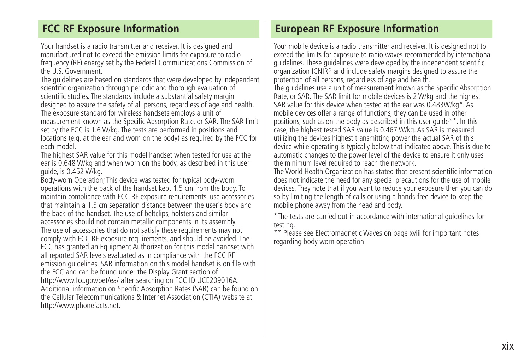# **FCC RF Exposure Information**

Your handset is a radio transmitter and receiver. It is designed and manufactured not to exceed the emission limits for exposure to radio frequency (RF) energy set by the Federal Communications Commission of the U.S. Government.

The guidelines are based on standards that were developed by independent scientific organization through periodic and thorough evaluation of scientific studies. The standards include a substantial safety margin designed to assure the safety of all persons, regardless of age and health. The exposure standard for wireless handsets employs a unit of measurement known as the Specific Absorption Rate, or SAR. The SAR limit set by the FCC is 1.6 W/kg. The tests are performed in positions and locations (e.g. at the ear and worn on the body) as required by the FCC for each model.

The highest SAR value for this model handset when tested for use at the ear is 0.648 W/kg and when worn on the body, as described in this user guide, is 0.452 W/kg.

Body-worn Operation; This device was tested for typical body-worn operations with the back of the handset kept 1.5 cm from the body. To maintain compliance with FCC RF exposure requirements, use accessories that maintain a 1.5 cm separation distance between the user's body and the back of the handset. The use of beltclips, holsters and similar accessories should not contain metallic components in its assembly. The use of accessories that do not satisfy these requirements may not comply with FCC RF exposure requirements, and should be avoided. The FCC has granted an Equipment Authorization for this model handset with all reported SAR levels evaluated as in compliance with the FCC RF emission guidelines. SAR information on this model handset is on file with the FCC and can be found under the Display Grant section of http://www.fcc.gov/oet/ea/ after searching on FCC ID UCE209016A. Additional information on Specific Absorption Rates (SAR) can be found on the Cellular Telecommunications & Internet Association (CTIA) website at http://www.phonefacts.net.

## **European RF Exposure Information**

Your mobile device is a radio transmitter and receiver. It is designed not to exceed the limits for exposure to radio waves recommended by international guidelines. These guidelines were developed by the independent scientific organization ICNIRP and include safety margins designed to assure the protection of all persons, regardless of age and health. The guidelines use a unit of measurement known as the Specific Absorption Rate, or SAR. The SAR limit for mobile devices is 2 W/kg and the highest SAR value for this device when tested at the ear was 0.483W/kg\*. As mobile devices offer a range of functions, they can be used in other positions, such as on the body as described in this user guide\*\*. In this case, the highest tested SAR value is 0.467 W/kg. As SAR is measured utilizing the devices highest transmitting power the actual SAR of this device while operating is typically below that indicated above. This is due to automatic changes to the power level of the device to ensure it only uses the minimum level required to reach the network.

The World Health Organization has stated that present scientific information does not indicate the need for any special precautions for the use of mobile devices. They note that if you want to reduce your exposure then you can do so by limiting the length of calls or using a hands-free device to keep the mobile phone away from the head and body.

\*The tests are carried out in accordance with international guidelines for testing.

\*\* Please see Electromagnetic Waves on page xviii for important notes regarding body worn operation.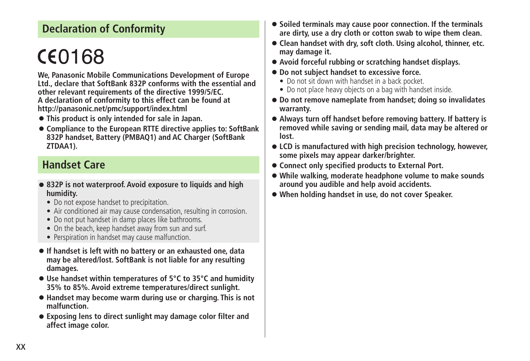# **Declaration of Conformity**

# CE0168

**We, Panasonic Mobile Communications Development of Europe Ltd., declare that SoftBank 832P conforms with the essential and other relevant requirements of the directive 1999/5/EC. A declaration of conformity to this effect can be found at http://panasonic.net/pmc/support/index.html**

- **This product is only intended for sale in Japan.**
- **Compliance to the European RTTE directive applies to: SoftBank 832P handset, Battery (PMBAQ1) and AC Charger (SoftBank ZTDAA1).**

# **Handset Care**

- **832P is not waterproof. Avoid exposure to liquids and high humidity.**
	- **•** Do not expose handset to precipitation.
	- **•** Air conditioned air may cause condensation, resulting in corrosion.
	- Do not put handset in damp places like bathrooms.
	- On the beach, keep handset away from sun and surf.
	- **•** Perspiration in handset may cause malfunction.
- **If handset is left with no battery or an exhausted one, data may be altered/lost. SoftBank is not liable for any resulting damages.**
- **Use handset within temperatures of 5°C to 35°C and humidity 35% to 85%. Avoid extreme temperatures/direct sunlight.**
- **Handset may become warm during use or charging. This is not malfunction.**
- **Exposing lens to direct sunlight may damage color filter and affect image color.**
- **Soiled terminals may cause poor connection. If the terminals are dirty, use a dry cloth or cotton swab to wipe them clean.**
- **Clean handset with dry, soft cloth. Using alcohol, thinner, etc. may damage it.**
- **Avoid forceful rubbing or scratching handset displays.**
- **Do not subject handset to excessive force.**
	- Do not sit down with handset in a back pocket.
	- **t** Do not place heavy objects on a bag with handset inside.
- **Do not remove nameplate from handset; doing so invalidates warranty.**
- **Always turn off handset before removing battery. If battery is removed while saving or sending mail, data may be altered or lost.**
- **LCD is manufactured with high precision technology, however, some pixels may appear darker/brighter.**
- **Connect only specified products to External Port.**
- **While walking, moderate headphone volume to make sounds around you audible and help avoid accidents.**
- **When holding handset in use, do not cover Speaker.**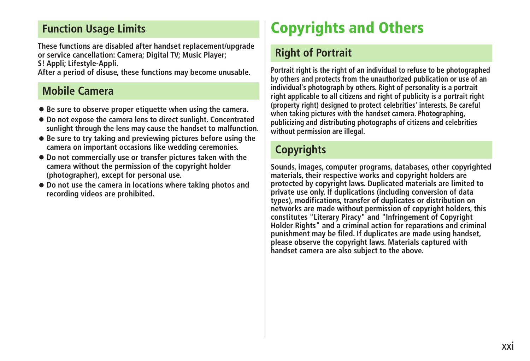# <span id="page-20-0"></span>**Function Usage Limits**

**These functions are disabled after handset replacement/upgrade or service cancellation: Camera; Digital TV; Music Player; S! Appli; Lifestyle-Appli.**

**After a period of disuse, these functions may become unusable.**

# **Mobile Camera**

- **Be sure to observe proper etiquette when using the camera.**
- **Do not expose the camera lens to direct sunlight. Concentrated sunlight through the lens may cause the handset to malfunction.**
- **Be sure to try taking and previewing pictures before using the camera on important occasions like wedding ceremonies.**
- **Do not commercially use or transfer pictures taken with the camera without the permission of the copyright holder (photographer), except for personal use.**
- **Do not use the camera in locations where taking photos and recording videos are prohibited.**

# **Copyrights and Others**

# **Right of Portrait**

**Portrait right is the right of an individual to refuse to be photographed by others and protects from the unauthorized publication or use of an individual's photograph by others. Right of personality is a portrait right applicable to all citizens and right of publicity is a portrait right (property right) designed to protect celebrities' interests. Be careful when taking pictures with the handset camera. Photographing, publicizing and distributing photographs of citizens and celebrities without permission are illegal.**

# **Copyrights**

**Sounds, images, computer programs, databases, other copyrighted materials, their respective works and copyright holders are protected by copyright laws. Duplicated materials are limited to private use only. If duplications (including conversion of data types), modifications, transfer of duplicates or distribution on networks are made without permission of copyright holders, this constitutes "Literary Piracy" and "Infringement of Copyright Holder Rights" and a criminal action for reparations and criminal punishment may be filed. If duplicates are made using handset, please observe the copyright laws. Materials captured with handset camera are also subject to the above.**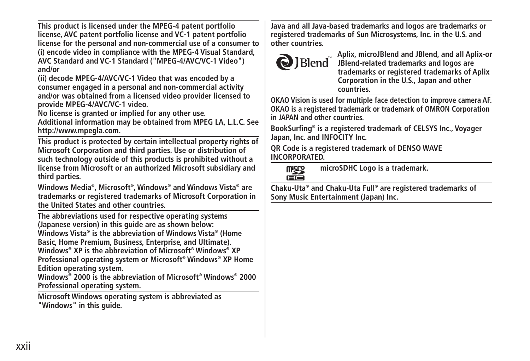**This product is licensed under the MPEG-4 patent portfolio license, AVC patent portfolio license and VC-1 patent portfolio license for the personal and non-commercial use of a consumer to (i) encode video in compliance with the MPEG-4 Visual Standard, AVC Standard and VC-1 Standard ("MPEG-4/AVC/VC-1 Video") and/or**

**(ii) decode MPEG-4/AVC/VC-1 Video that was encoded by a consumer engaged in a personal and non-commercial activity and/or was obtained from a licensed video provider licensed to provide MPEG-4/AVC/VC-1 video.**

**No license is granted or implied for any other use. Additional information may be obtained from MPEG LA, L.L.C. See http://www.mpegla.com.**

**This product is protected by certain intellectual property rights of Microsoft Corporation and third parties. Use or distribution of such technology outside of this products is prohibited without a license from Microsoft or an authorized Microsoft subsidiary and third parties.**

**Windows Media® , Microsoft® , Windows® and Windows Vista® are trademarks or registered trademarks of Microsoft Corporation in the United States and other countries.**

**The abbreviations used for respective operating systems (Japanese version) in this guide are as shown below: Windows Vista® is the abbreviation of Windows Vista® (Home Basic, Home Premium, Business, Enterprise, and Ultimate). Windows® XP is the abbreviation of Microsoft® Windows® XP Professional operating system or Microsoft® Windows® XP Home Edition operating system.**

**Windows® 2000 is the abbreviation of Microsoft® Windows® 2000 Professional operating system.**

**Microsoft Windows operating system is abbreviated as "Windows" in this guide.**

**Java and all Java-based trademarks and logos are trademarks or registered trademarks of Sun Microsystems, Inc. in the U.S. and other countries.**



**Aplix, microJBlend and JBlend, and all Aplix-or JBlend-related trademarks and logos are trademarks or registered trademarks of Aplix Corporation in the U.S., Japan and other countries.**

**OKAO Vision is used for multiple face detection to improve camera AF. OKAO is a registered trademark or trademark of OMRON Corporation in JAPAN and other countries.**

**BookSurfing® is a registered trademark of CELSYS Inc., Voyager Japan, Inc. and INFOCITY Inc.**

**QR Code is a registered trademark of DENSO WAVE INCORPORATED.**

**microSDHC Logo is a trademark. Micico** cé

**Chaku-Uta® and Chaku-Uta Full® are registered trademarks of Sony Music Entertainment (Japan) Inc.**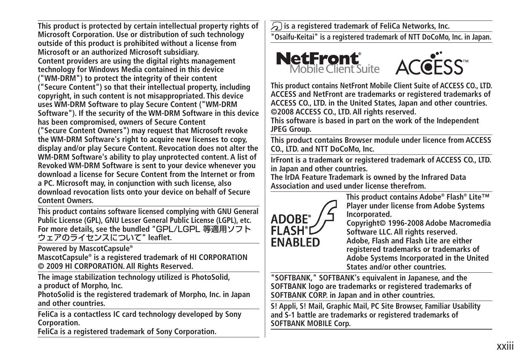**This product is protected by certain intellectual property rights of Microsoft Corporation. Use or distribution of such technology outside of this product is prohibited without a license from Microsoft or an authorized Microsoft subsidiary. Content providers are using the digital rights management technology for Windows Media contained in this device ("WM-DRM") to protect the integrity of their content ("Secure Content") so that their intellectual property, including copyright, in such content is not misappropriated. This device uses WM-DRM Software to play Secure Content ("WM-DRM Software"). If the security of the WM-DRM Software in this device has been compromised, owners of Secure Content ("Secure Content Owners") may request that Microsoft revoke the WM-DRM Software's right to acquire new licenses to copy, display and/or play Secure Content. Revocation does not alter the WM-DRM Software's ability to play unprotected content. A list of Revoked WM-DRM Software is sent to your device whenever you download a license for Secure Content from the Internet or from a PC. Microsoft may, in conjunction with such license, also download revocation lists onto your device on behalf of Secure** 

**Content Owners. This product contains software licensed complying with GNU General Public License (GPL), GNU Lesser General Public License (LGPL), etc. For more details, see the bundled "**GPL/LGPL 等適用ソフト ウェアのライセンスについて**" leaflet.**

**Powered by MascotCapsule® MascotCapsule® is a registered trademark of HI CORPORATION © 2009 HI CORPORATION. All Rights Reserved.**

**The image stabilization technology utilized is PhotoSolid, a product of Morpho, Inc.**

**PhotoSolid is the registered trademark of Morpho, Inc. in Japan and other countries.**

**FeliCa is a contactless IC card technology developed by Sony Corporation.**

**FeliCa is a registered trademark of Sony Corporation.**

 **is a registered trademark of FeliCa Networks, Inc.**

**"Osaifu-Keitai" is a registered trademark of NTT DoCoMo, Inc. in Japan.**





**This product contains NetFront Mobile Client Suite of ACCESS CO., LTD. ACCESS and NetFront are trademarks or registered trademarks of ACCESS CO., LTD. in the United States, Japan and other countries. ©2008 ACCESS CO., LTD. All rights reserved.**

**This software is based in part on the work of the Independent JPEG Group.**

**This product contains Browser module under licence from ACCESS CO., LTD. and NTT DoCoMo, Inc.**

**IrFront is a trademark or registered trademark of ACCESS CO., LTD. in Japan and other countries.**

**The IrDA Feature Trademark is owned by the Infrared Data Association and used under license therefrom.**



**This product contains Adobe® Flash® Lite™ Player under license from Adobe Systems Incorporated.**

**Copyright© 1996-2008 Adobe Macromedia Software LLC. All rights reserved. Adobe, Flash and Flash Lite are either registered trademarks or trademarks of Adobe Systems Incorporated in the United States and/or other countries.**

**"SOFTBANK," SOFTBANK's equivalent in Japanese, and the SOFTBANK logo are trademarks or registered trademarks of SOFTBANK CORP. in Japan and in other countries.**

**S! Appli, S! Mail, Graphic Mail, PC Site Browser, Familiar Usability and S-1 battle are trademarks or registered trademarks of SOFTBANK MOBILE Corp.**